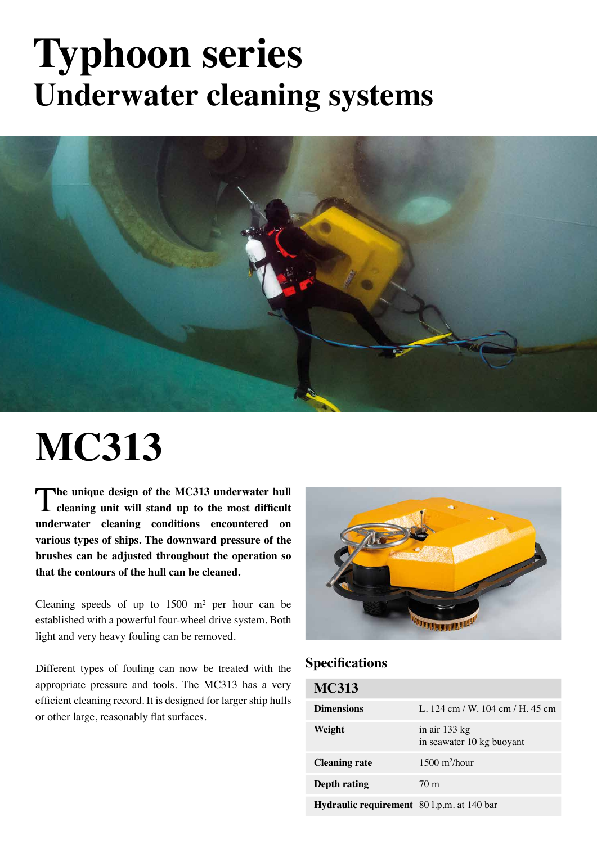# **Typhoon series Underwater cleaning systems**



# **MC313**

The unique design of the MC313 underwater hull cleaning unit will stand up to the most difficult **underwater cleaning conditions encountered on various types of ships. The downward pressure of the brushes can be adjusted throughout the operation so that the contours of the hull can be cleaned.**

Cleaning speeds of up to  $1500 \text{ m}^2$  per hour can be established with a powerful four-wheel drive system. Both light and very heavy fouling can be removed.

Different types of fouling can now be treated with the appropriate pressure and tools. The MC313 has a very efficient cleaning record. It is designed for larger ship hulls or other large, reasonably flat surfaces.



### **Specifications**

| <b>MC313</b>                               |                                            |
|--------------------------------------------|--------------------------------------------|
| <b>Dimensions</b>                          | L. 124 cm / W. 104 cm / H. 45 cm           |
| Weight                                     | in air 133 kg<br>in seawater 10 kg buoyant |
| <b>Cleaning rate</b>                       | $1500 \frac{\text{m}^2}{\text{hour}}$      |
| Depth rating                               | 70 <sub>m</sub>                            |
| Hydraulic requirement 80 l.p.m. at 140 bar |                                            |